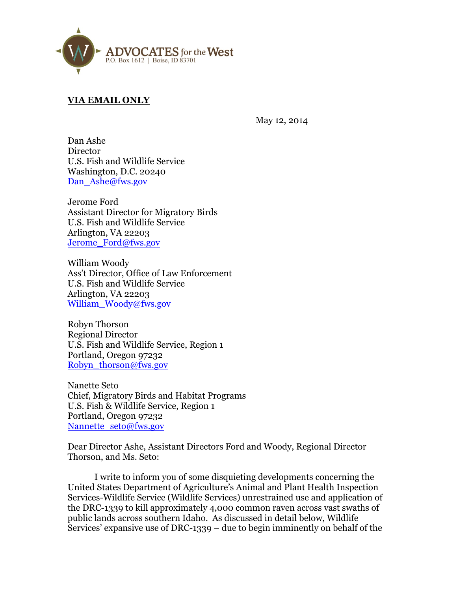

# **VIA EMAIL ONLY**

May 12, 2014

Dan Ashe **Director** U.S. Fish and Wildlife Service Washington, D.C. 20240 Dan\_Ashe@fws.gov

Jerome Ford Assistant Director for Migratory Birds U.S. Fish and Wildlife Service Arlington, VA 22203 Jerome\_Ford@fws.gov

William Woody Ass't Director, Office of Law Enforcement U.S. Fish and Wildlife Service Arlington, VA 22203 William Woody@fws.gov

Robyn Thorson Regional Director U.S. Fish and Wildlife Service, Region 1 Portland, Oregon 97232 Robyn\_thorson@fws.gov

Nanette Seto Chief, Migratory Birds and Habitat Programs U.S. Fish & Wildlife Service, Region 1 Portland, Oregon 97232 Nannette\_seto@fws.gov

Dear Director Ashe, Assistant Directors Ford and Woody, Regional Director Thorson, and Ms. Seto:

I write to inform you of some disquieting developments concerning the United States Department of Agriculture's Animal and Plant Health Inspection Services-Wildlife Service (Wildlife Services) unrestrained use and application of the DRC-1339 to kill approximately 4,000 common raven across vast swaths of public lands across southern Idaho. As discussed in detail below, Wildlife Services' expansive use of DRC-1339 – due to begin imminently on behalf of the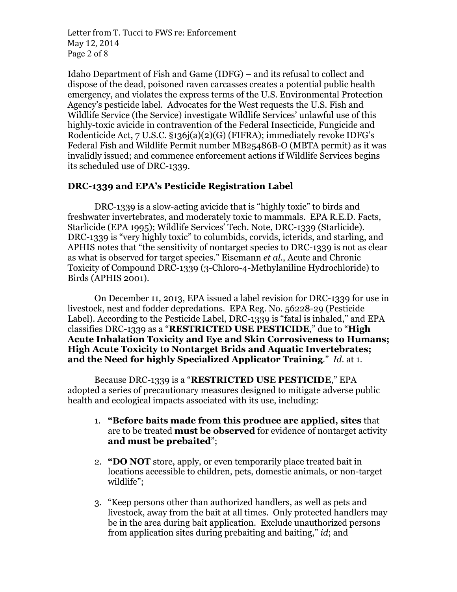Letter from T. Tucci to FWS re: Enforcement May 12, 2014 Page 2 of 8

Idaho Department of Fish and Game (IDFG) – and its refusal to collect and dispose of the dead, poisoned raven carcasses creates a potential public health emergency, and violates the express terms of the U.S. Environmental Protection Agency's pesticide label. Advocates for the West requests the U.S. Fish and Wildlife Service (the Service) investigate Wildlife Services' unlawful use of this highly-toxic avicide in contravention of the Federal Insecticide, Fungicide and Rodenticide Act, 7 U.S.C. §136j(a)(2)(G) (FIFRA); immediately revoke IDFG's Federal Fish and Wildlife Permit number MB25486B-O (MBTA permit) as it was invalidly issued; and commence enforcement actions if Wildlife Services begins its scheduled use of DRC-1339.

# **DRC-1339 and EPA's Pesticide Registration Label**

DRC-1339 is a slow-acting avicide that is "highly toxic" to birds and freshwater invertebrates, and moderately toxic to mammals. EPA R.E.D. Facts, Starlicide (EPA 1995); Wildlife Services' Tech. Note, DRC-1339 (Starlicide). DRC-1339 is "very highly toxic" to columbids, corvids, icterids, and starling, and APHIS notes that "the sensitivity of nontarget species to DRC-1339 is not as clear as what is observed for target species." Eisemann *et al.*, Acute and Chronic Toxicity of Compound DRC-1339 (3-Chloro-4-Methylaniline Hydrochloride) to Birds (APHIS 2001).

On December 11, 2013, EPA issued a label revision for DRC-1339 for use in livestock, nest and fodder depredations. EPA Reg. No. 56228-29 (Pesticide Label). According to the Pesticide Label, DRC-1339 is "fatal is inhaled," and EPA classifies DRC-1339 as a "**RESTRICTED USE PESTICIDE**," due to "**High Acute Inhalation Toxicity and Eye and Skin Corrosiveness to Humans; High Acute Toxicity to Nontarget Brids and Aquatic Invertebrates; and the Need for highly Specialized Applicator Training**." *Id.* at 1.

Because DRC-1339 is a "**RESTRICTED USE PESTICIDE**," EPA adopted a series of precautionary measures designed to mitigate adverse public health and ecological impacts associated with its use, including:

- 1. **"Before baits made from this produce are applied, sites** that are to be treated **must be observed** for evidence of nontarget activity **and must be prebaited**";
- 2. **"DO NOT** store, apply, or even temporarily place treated bait in locations accessible to children, pets, domestic animals, or non-target wildlife";
- 3. "Keep persons other than authorized handlers, as well as pets and livestock, away from the bait at all times. Only protected handlers may be in the area during bait application. Exclude unauthorized persons from application sites during prebaiting and baiting," *id*; and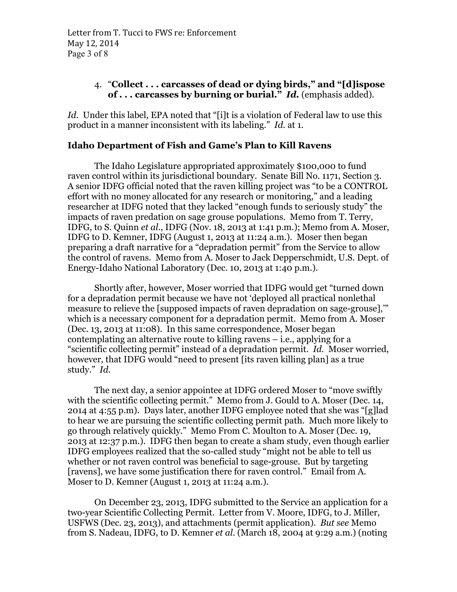## 4. "**Collect . . . carcasses of dead or dying birds," and "[d]ispose of . . . carcasses by burning or burial."** *Id.* (emphasis added).

Id. Under this label, EPA noted that "[i]t is a violation of Federal law to use this product in a manner inconsistent with its labeling." *Id.* at 1.

#### **Idaho Department of Fish and Game's Plan to Kill Ravens**

The Idaho Legislature appropriated approximately \$100,000 to fund raven control within its jurisdictional boundary. Senate Bill No. 1171, Section 3. A senior IDFG official noted that the raven killing project was "to be a CONTROL effort with no money allocated for any research or monitoring," and a leading researcher at IDFG noted that they lacked "enough funds to seriously study" the impacts of raven predation on sage grouse populations. Memo from T. Terry, IDFG, to S. Quinn *et al.*, IDFG (Nov. 18, 2013 at 1:41 p.m.); Memo from A. Moser, IDFG to D. Kemner, IDFG (August 1, 2013 at 11:24 a.m.). Moser then began preparing a draft narrative for a "depradation permit" from the Service to allow the control of ravens. Memo from A. Moser to Jack Depperschmidt, U.S. Dept. of Energy-Idaho National Laboratory (Dec. 10, 2013 at 1:40 p.m.).

Shortly after, however, Moser worried that IDFG would get "turned down for a depradation permit because we have not 'deployed all practical nonlethal measure to relieve the [supposed impacts of raven depradation on sage-grouse],'" which is a necessary component for a depradation permit. Memo from A. Moser (Dec. 13, 2013 at 11:08). In this same correspondence, Moser began contemplating an alternative route to killing ravens – i.e., applying for a "scientific collecting permit" instead of a depradation permit. *Id.* Moser worried, however, that IDFG would "need to present [its raven killing plan] as a true study." *Id.*

The next day, a senior appointee at IDFG ordered Moser to "move swiftly with the scientific collecting permit." Memo from J. Gould to A. Moser (Dec. 14, 2014 at 4:55 p.m). Days later, another IDFG employee noted that she was "[g]lad to hear we are pursuing the scientific collecting permit path. Much more likely to go through relatively quickly." Memo From C. Moulton to A. Moser (Dec. 19, 2013 at 12:37 p.m.). IDFG then began to create a sham study, even though earlier IDFG employees realized that the so-called study "might not be able to tell us whether or not raven control was beneficial to sage-grouse. But by targeting [ravens], we have some justification there for raven control." Email from A. Moser to D. Kemner (August 1, 2013 at 11:24 a.m.).

On December 23, 2013, IDFG submitted to the Service an application for a two-year Scientific Collecting Permit. Letter from V. Moore, IDFG, to J. Miller, USFWS (Dec. 23, 2013), and attachments (permit application). *But see* Memo from S. Nadeau, IDFG, to D. Kemner *et al*. (March 18, 2004 at 9:29 a.m.) (noting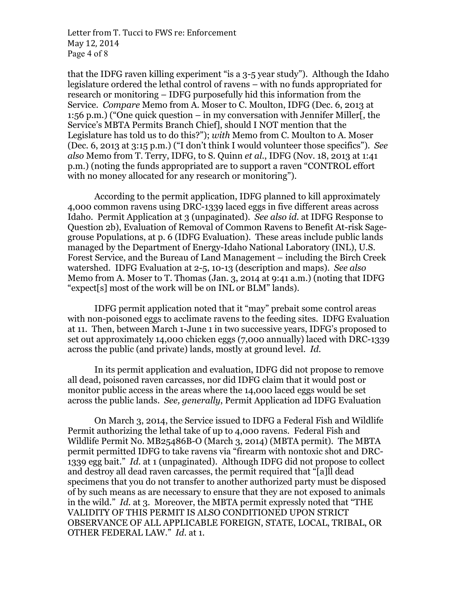Letter from T. Tucci to FWS re: Enforcement May 12, 2014 Page 4 of 8

that the IDFG raven killing experiment "is a 3-5 year study"). Although the Idaho legislature ordered the lethal control of ravens – with no funds appropriated for research or monitoring – IDFG purposefully hid this information from the Service. *Compare* Memo from A. Moser to C. Moulton, IDFG (Dec. 6, 2013 at 1:56 p.m.) ("One quick question – in my conversation with Jennifer Miller[, the Service's MBTA Permits Branch Chief], should I NOT mention that the Legislature has told us to do this?"); *with* Memo from C. Moulton to A. Moser (Dec. 6, 2013 at 3:15 p.m.) ("I don't think I would volunteer those specifics"). *See also* Memo from T. Terry, IDFG, to S. Quinn *et al.*, IDFG (Nov. 18, 2013 at 1:41 p.m.) (noting the funds appropriated are to support a raven "CONTROL effort with no money allocated for any research or monitoring").

According to the permit application, IDFG planned to kill approximately 4,000 common ravens using DRC-1339 laced eggs in five different areas across Idaho. Permit Application at 3 (unpaginated). *See also id.* at IDFG Response to Question 2b), Evaluation of Removal of Common Ravens to Benefit At-risk Sagegrouse Populations, at p. 6 (IDFG Evaluation). These areas include public lands managed by the Department of Energy-Idaho National Laboratory (INL), U.S. Forest Service, and the Bureau of Land Management – including the Birch Creek watershed. IDFG Evaluation at 2-5, 10-13 (description and maps). *See also*  Memo from A. Moser to T. Thomas (Jan. 3, 2014 at 9:41 a.m.) (noting that IDFG "expect[s] most of the work will be on INL or BLM" lands).

IDFG permit application noted that it "may" prebait some control areas with non-poisoned eggs to acclimate ravens to the feeding sites. IDFG Evaluation at 11. Then, between March 1-June 1 in two successive years, IDFG's proposed to set out approximately 14,000 chicken eggs (7,000 annually) laced with DRC-1339 across the public (and private) lands, mostly at ground level. *Id.*

In its permit application and evaluation, IDFG did not propose to remove all dead, poisoned raven carcasses, nor did IDFG claim that it would post or monitor public access in the areas where the 14,000 laced eggs would be set across the public lands. *See, generally*, Permit Application ad IDFG Evaluation

On March 3, 2014, the Service issued to IDFG a Federal Fish and Wildlife Permit authorizing the lethal take of up to 4,000 ravens. Federal Fish and Wildlife Permit No. MB25486B-O (March 3, 2014) (MBTA permit). The MBTA permit permitted IDFG to take ravens via "firearm with nontoxic shot and DRC-1339 egg bait." *Id.* at 1 (unpaginated). Although IDFG did not propose to collect and destroy all dead raven carcasses, the permit required that "[a]ll dead specimens that you do not transfer to another authorized party must be disposed of by such means as are necessary to ensure that they are not exposed to animals in the wild." *Id.* at 3. Moreover, the MBTA permit expressly noted that "THE VALIDITY OF THIS PERMIT IS ALSO CONDITIONED UPON STRICT OBSERVANCE OF ALL APPLICABLE FOREIGN, STATE, LOCAL, TRIBAL, OR OTHER FEDERAL LAW." *Id.* at 1.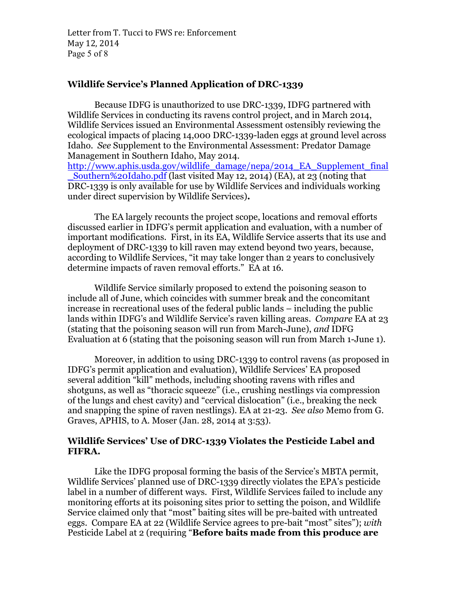Letter from T. Tucci to FWS re: Enforcement May 12, 2014 Page 5 of 8

### **Wildlife Service's Planned Application of DRC-1339**

Because IDFG is unauthorized to use DRC-1339, IDFG partnered with Wildlife Services in conducting its ravens control project, and in March 2014, Wildlife Services issued an Environmental Assessment ostensibly reviewing the ecological impacts of placing 14,000 DRC-1339-laden eggs at ground level across Idaho. *See* Supplement to the Environmental Assessment: Predator Damage Management in Southern Idaho, May 2014.

http://www.aphis.usda.gov/wildlife\_damage/nepa/2014\_EA\_Supplement\_final \_Southern%20Idaho.pdf (last visited May 12, 2014) (EA), at 23 (noting that DRC-1339 is only available for use by Wildlife Services and individuals working under direct supervision by Wildlife Services)**.** 

The EA largely recounts the project scope, locations and removal efforts discussed earlier in IDFG's permit application and evaluation, with a number of important modifications. First, in its EA, Wildlife Service asserts that its use and deployment of DRC-1339 to kill raven may extend beyond two years, because, according to Wildlife Services, "it may take longer than 2 years to conclusively determine impacts of raven removal efforts." EA at 16.

Wildlife Service similarly proposed to extend the poisoning season to include all of June, which coincides with summer break and the concomitant increase in recreational uses of the federal public lands – including the public lands within IDFG's and Wildlife Service's raven killing areas. *Compare* EA at 23 (stating that the poisoning season will run from March-June), *and* IDFG Evaluation at 6 (stating that the poisoning season will run from March 1-June 1).

Moreover, in addition to using DRC-1339 to control ravens (as proposed in IDFG's permit application and evaluation), Wildlife Services' EA proposed several addition "kill" methods, including shooting ravens with rifles and shotguns, as well as "thoracic squeeze" (i.e., crushing nestlings via compression of the lungs and chest cavity) and "cervical dislocation" (i.e., breaking the neck and snapping the spine of raven nestlings). EA at 21-23. *See also* Memo from G. Graves, APHIS, to A. Moser (Jan. 28, 2014 at 3:53).

#### **Wildlife Services' Use of DRC-1339 Violates the Pesticide Label and FIFRA.**

Like the IDFG proposal forming the basis of the Service's MBTA permit, Wildlife Services' planned use of DRC-1339 directly violates the EPA's pesticide label in a number of different ways. First, Wildlife Services failed to include any monitoring efforts at its poisoning sites prior to setting the poison, and Wildlife Service claimed only that "most" baiting sites will be pre-baited with untreated eggs. Compare EA at 22 (Wildlife Service agrees to pre-bait "most" sites"); *with*  Pesticide Label at 2 (requiring "**Before baits made from this produce are**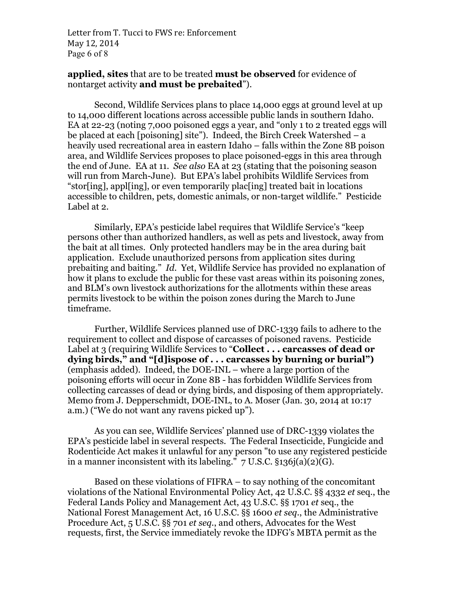Letter from T. Tucci to FWS re: Enforcement May 12, 2014 Page 6 of 8

#### **applied, sites** that are to be treated **must be observed** for evidence of nontarget activity **and must be prebaited**").

Second, Wildlife Services plans to place 14,000 eggs at ground level at up to 14,000 different locations across accessible public lands in southern Idaho. EA at 22-23 (noting 7,000 poisoned eggs a year, and "only 1 to 2 treated eggs will be placed at each [poisoning] site"). Indeed, the Birch Creek Watershed – a heavily used recreational area in eastern Idaho – falls within the Zone 8B poison area, and Wildlife Services proposes to place poisoned-eggs in this area through the end of June. EA at 11. *See also* EA at 23 (stating that the poisoning season will run from March-June). But EPA's label prohibits Wildlife Services from "stor[ing], appl[ing], or even temporarily plac[ing] treated bait in locations accessible to children, pets, domestic animals, or non-target wildlife." Pesticide Label at 2.

Similarly, EPA's pesticide label requires that Wildlife Service's "keep persons other than authorized handlers, as well as pets and livestock, away from the bait at all times. Only protected handlers may be in the area during bait application. Exclude unauthorized persons from application sites during prebaiting and baiting." *Id.* Yet, Wildlife Service has provided no explanation of how it plans to exclude the public for these vast areas within its poisoning zones, and BLM's own livestock authorizations for the allotments within these areas permits livestock to be within the poison zones during the March to June timeframe.

Further, Wildlife Services planned use of DRC-1339 fails to adhere to the requirement to collect and dispose of carcasses of poisoned ravens. Pesticide Label at 3 (requiring Wildlife Services to "**Collect . . . carcasses of dead or dying birds," and "[d]ispose of . . . carcasses by burning or burial")**  (emphasis added). Indeed, the DOE-INL – where a large portion of the poisoning efforts will occur in Zone 8B - has forbidden Wildlife Services from collecting carcasses of dead or dying birds, and disposing of them appropriately. Memo from J. Depperschmidt, DOE-INL, to A. Moser (Jan. 30, 2014 at 10:17 a.m.) ("We do not want any ravens picked up").

As you can see, Wildlife Services' planned use of DRC-1339 violates the EPA's pesticide label in several respects. The Federal Insecticide, Fungicide and Rodenticide Act makes it unlawful for any person "to use any registered pesticide in a manner inconsistent with its labeling."  $7 \text{ U.S.C. }$  \$136j(a)(2)(G).

Based on these violations of FIFRA – to say nothing of the concomitant violations of the National Environmental Policy Act, 42 U.S.C. §§ 4332 *et* seq., the Federal Lands Policy and Management Act, 43 U.S.C. §§ 1701 *et* seq., the National Forest Management Act, 16 U.S.C. §§ 1600 *et seq.*, the Administrative Procedure Act, 5 U.S.C. §§ 701 *et seq.*, and others, Advocates for the West requests, first, the Service immediately revoke the IDFG's MBTA permit as the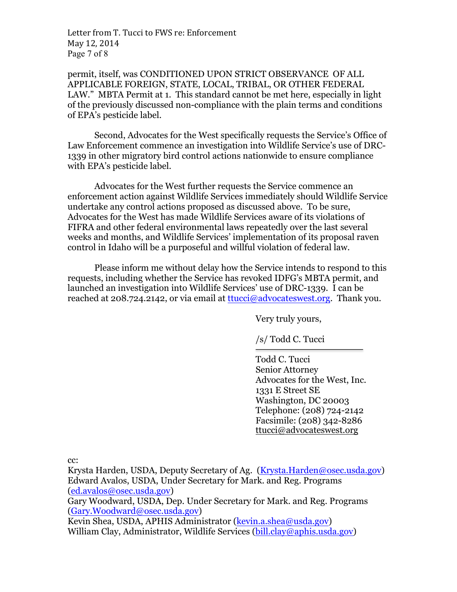Letter from T. Tucci to FWS re: Enforcement May 12, 2014 Page 7 of 8

permit, itself, was CONDITIONED UPON STRICT OBSERVANCE OF ALL APPLICABLE FOREIGN, STATE, LOCAL, TRIBAL, OR OTHER FEDERAL LAW." MBTA Permit at 1. This standard cannot be met here, especially in light of the previously discussed non-compliance with the plain terms and conditions of EPA's pesticide label.

Second, Advocates for the West specifically requests the Service's Office of Law Enforcement commence an investigation into Wildlife Service's use of DRC-1339 in other migratory bird control actions nationwide to ensure compliance with EPA's pesticide label.

Advocates for the West further requests the Service commence an enforcement action against Wildlife Services immediately should Wildlife Service undertake any control actions proposed as discussed above. To be sure, Advocates for the West has made Wildlife Services aware of its violations of FIFRA and other federal environmental laws repeatedly over the last several weeks and months, and Wildlife Services' implementation of its proposal raven control in Idaho will be a purposeful and willful violation of federal law.

Please inform me without delay how the Service intends to respond to this requests, including whether the Service has revoked IDFG's MBTA permit, and launched an investigation into Wildlife Services' use of DRC-1339. I can be reached at 208.724.2142, or via email at  $t$ tucci@advocateswest.org. Thank you.

Very truly yours,

/s/ Todd C. Tucci

Todd C. Tucci Senior Attorney Advocates for the West, Inc. 1331 E Street SE Washington, DC 20003 Telephone: (208) 724-2142 Facsimile: (208) 342-8286 ttucci@advocateswest.org

cc:

Krysta Harden, USDA, Deputy Secretary of Ag. (Krysta.Harden@osec.usda.gov) Edward Avalos, USDA, Under Secretary for Mark. and Reg. Programs (ed.avalos@osec.usda.gov)

Gary Woodward, USDA, Dep. Under Secretary for Mark. and Reg. Programs (Gary.Woodward@osec.usda.gov)

Kevin Shea, USDA, APHIS Administrator (kevin.a.shea@usda.gov) William Clay, Administrator, Wildlife Services (bill.clay@aphis.usda.gov)